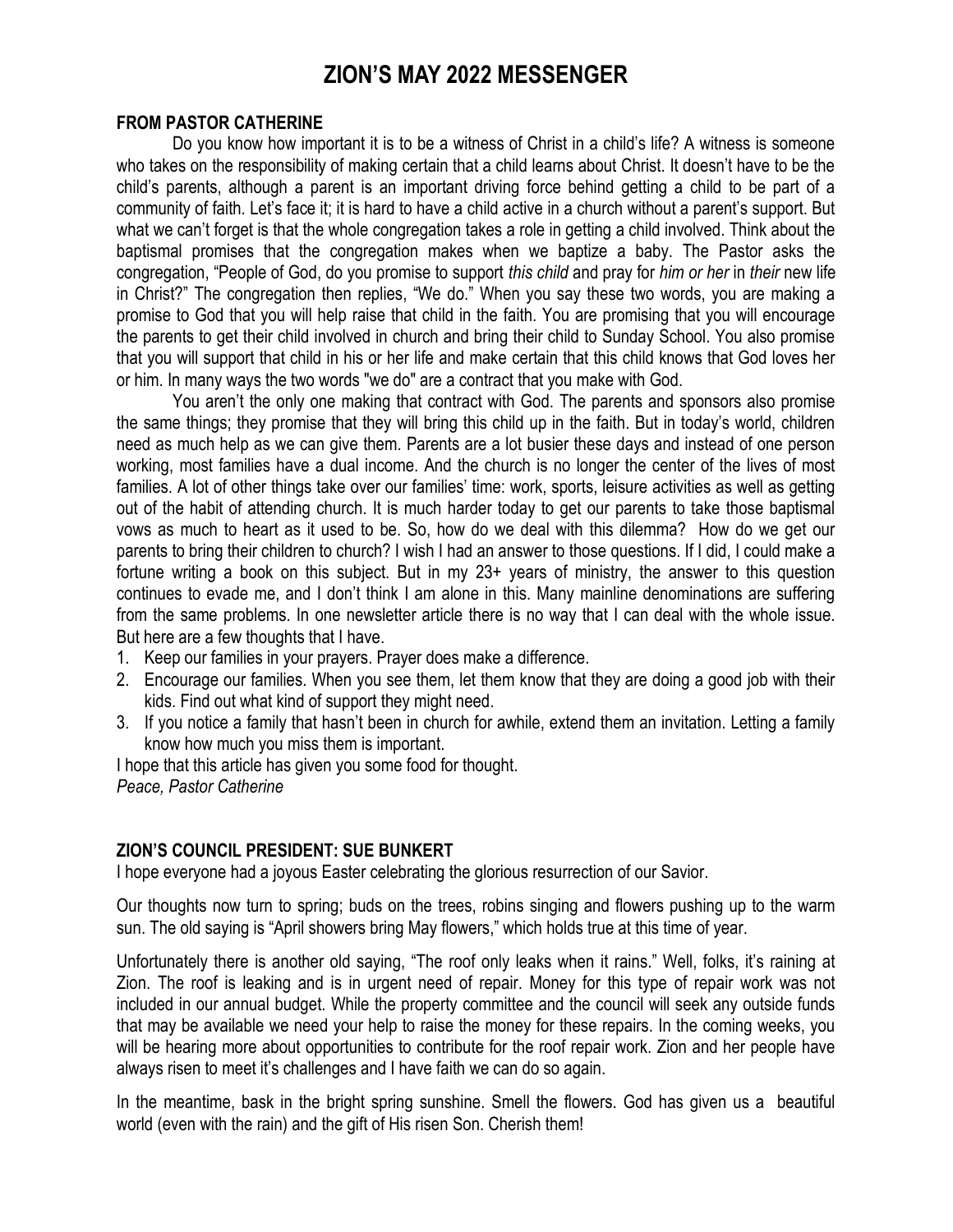# **ZION'S MAY 2022 MESSENGER**

#### **FROM PASTOR CATHERINE**

Do you know how important it is to be a witness of Christ in a child's life? A witness is someone who takes on the responsibility of making certain that a child learns about Christ. It doesn't have to be the child's parents, although a parent is an important driving force behind getting a child to be part of a community of faith. Let's face it; it is hard to have a child active in a church without a parent's support. But what we can't forget is that the whole congregation takes a role in getting a child involved. Think about the baptismal promises that the congregation makes when we baptize a baby. The Pastor asks the congregation, "People of God, do you promise to support *this child* and pray for *him or her* in *their* new life in Christ?" The congregation then replies, "We do." When you say these two words, you are making a promise to God that you will help raise that child in the faith. You are promising that you will encourage the parents to get their child involved in church and bring their child to Sunday School. You also promise that you will support that child in his or her life and make certain that this child knows that God loves her or him. In many ways the two words "we do" are a contract that you make with God.

You aren't the only one making that contract with God. The parents and sponsors also promise the same things; they promise that they will bring this child up in the faith. But in today's world, children need as much help as we can give them. Parents are a lot busier these days and instead of one person working, most families have a dual income. And the church is no longer the center of the lives of most families. A lot of other things take over our families' time: work, sports, leisure activities as well as getting out of the habit of attending church. It is much harder today to get our parents to take those baptismal vows as much to heart as it used to be. So, how do we deal with this dilemma? How do we get our parents to bring their children to church? I wish I had an answer to those questions. If I did, I could make a fortune writing a book on this subject. But in my 23+ years of ministry, the answer to this question continues to evade me, and I don't think I am alone in this. Many mainline denominations are suffering from the same problems. In one newsletter article there is no way that I can deal with the whole issue. But here are a few thoughts that I have.

- 1. Keep our families in your prayers. Prayer does make a difference.
- 2. Encourage our families. When you see them, let them know that they are doing a good job with their kids. Find out what kind of support they might need.
- 3. If you notice a family that hasn't been in church for awhile, extend them an invitation. Letting a family know how much you miss them is important.

I hope that this article has given you some food for thought. *Peace, Pastor Catherine*

#### **ZION'S COUNCIL PRESIDENT: SUE BUNKERT**

I hope everyone had a joyous Easter celebrating the glorious resurrection of our Savior.

Our thoughts now turn to spring; buds on the trees, robins singing and flowers pushing up to the warm sun. The old saying is "April showers bring May flowers," which holds true at this time of year.

Unfortunately there is another old saying, "The roof only leaks when it rains." Well, folks, it's raining at Zion. The roof is leaking and is in urgent need of repair. Money for this type of repair work was not included in our annual budget. While the property committee and the council will seek any outside funds that may be available we need your help to raise the money for these repairs. In the coming weeks, you will be hearing more about opportunities to contribute for the roof repair work. Zion and her people have always risen to meet it's challenges and I have faith we can do so again.

In the meantime, bask in the bright spring sunshine. Smell the flowers. God has given us a beautiful world (even with the rain) and the gift of His risen Son. Cherish them!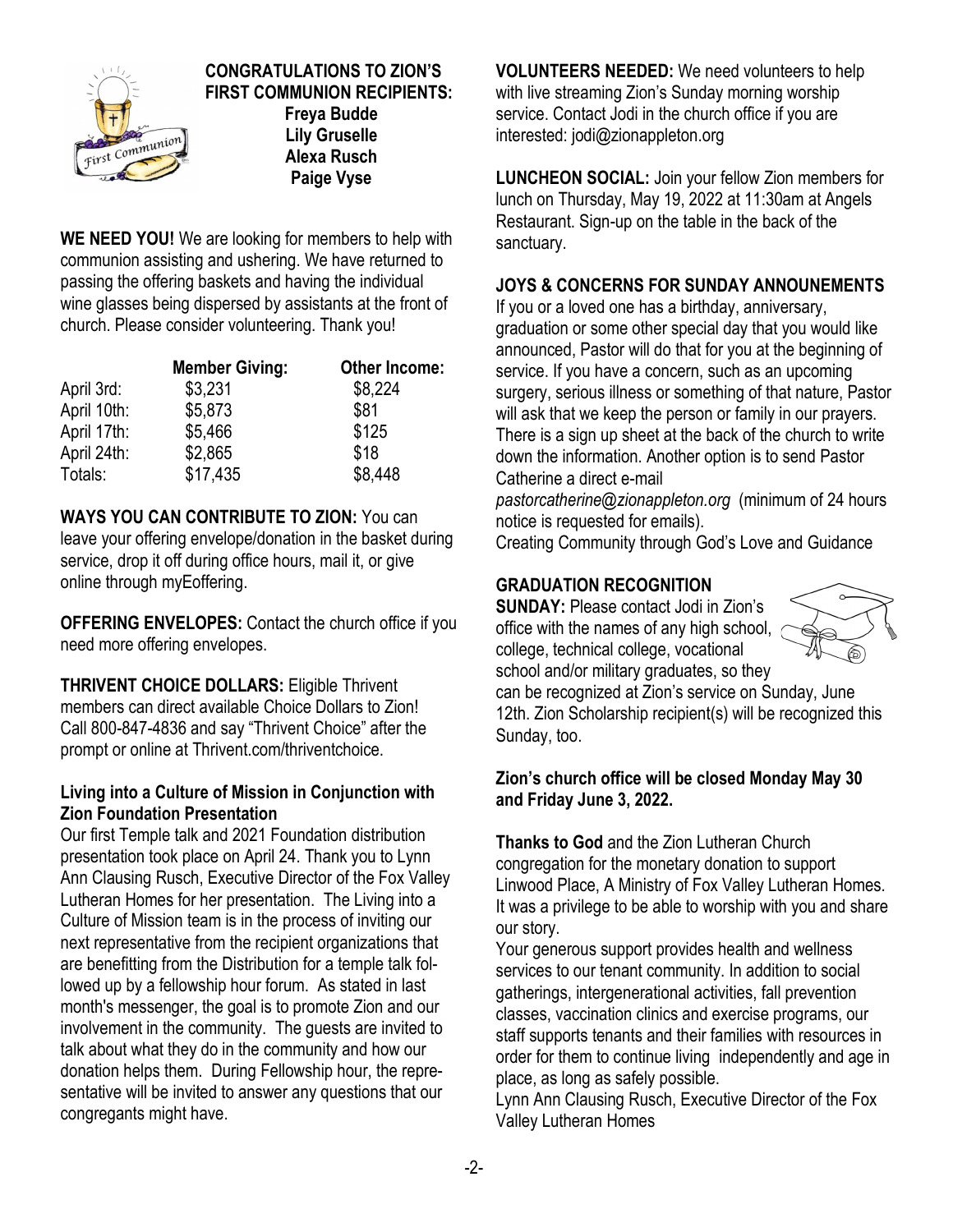

# **CONGRATULATIONS TO ZION'S FIRST COMMUNION RECIPIENTS: Freya Budde**

**Lily Gruselle Alexa Rusch Paige Vyse**

**WE NEED YOU!** We are looking for members to help with communion assisting and ushering. We have returned to passing the offering baskets and having the individual wine glasses being dispersed by assistants at the front of church. Please consider volunteering. Thank you!

|             | <b>Member Giving:</b> | <b>Other Income:</b> |  |
|-------------|-----------------------|----------------------|--|
| April 3rd:  | \$3,231               | \$8,224              |  |
| April 10th: | \$5,873               | \$81                 |  |
| April 17th: | \$5,466               | \$125                |  |
| April 24th: | \$2,865               | \$18                 |  |
| Totals:     | \$17,435              | \$8,448              |  |

**WAYS YOU CAN CONTRIBUTE TO ZION:** You can leave your offering envelope/donation in the basket during service, drop it off during office hours, mail it, or give online through myEoffering.

**OFFERING ENVELOPES:** Contact the church office if you need more offering envelopes.

**THRIVENT CHOICE DOLLARS:** Eligible Thrivent members can direct available Choice Dollars to Zion! Call 800-847-4836 and say "Thrivent Choice" after the prompt or online at Thrivent.com/thriventchoice.

## **Living into a Culture of Mission in Conjunction with Zion Foundation Presentation**

Our first Temple talk and 2021 Foundation distribution presentation took place on April 24. Thank you to Lynn Ann Clausing Rusch, Executive Director of the Fox Valley Lutheran Homes for her presentation. The Living into a Culture of Mission team is in the process of inviting our next representative from the recipient organizations that are benefitting from the Distribution for a temple talk followed up by a fellowship hour forum. As stated in last month's messenger, the goal is to promote Zion and our involvement in the community. The guests are invited to talk about what they do in the community and how our donation helps them. During Fellowship hour, the representative will be invited to answer any questions that our congregants might have.

**VOLUNTEERS NEEDED:** We need volunteers to help with live streaming Zion's Sunday morning worship service. Contact Jodi in the church office if you are interested: jodi@zionappleton.org

**LUNCHEON SOCIAL:** Join your fellow Zion members for lunch on Thursday, May 19, 2022 at 11:30am at Angels Restaurant. Sign-up on the table in the back of the sanctuary.

## **JOYS & CONCERNS FOR SUNDAY ANNOUNEMENTS**

If you or a loved one has a birthday, anniversary, graduation or some other special day that you would like announced, Pastor will do that for you at the beginning of service. If you have a concern, such as an upcoming surgery, serious illness or something of that nature, Pastor will ask that we keep the person or family in our prayers. There is a sign up sheet at the back of the church to write down the information. Another option is to send Pastor Catherine a direct e-mail

*pastorcatherine@zionappleton.org* (minimum of 24 hours notice is requested for emails).

Creating Community through God's Love and Guidance

# **GRADUATION RECOGNITION**

**SUNDAY:** Please contact Jodi in Zion's office with the names of any high school, college, technical college, vocational school and/or military graduates, so they



can be recognized at Zion's service on Sunday, June 12th. Zion Scholarship recipient(s) will be recognized this Sunday, too.

## **Zion's church office will be closed Monday May 30 and Friday June 3, 2022.**

**Thanks to God** and the Zion Lutheran Church congregation for the monetary donation to support Linwood Place, A Ministry of Fox Valley Lutheran Homes. It was a privilege to be able to worship with you and share our story.

Your generous support provides health and wellness services to our tenant community. In addition to social gatherings, intergenerational activities, fall prevention classes, vaccination clinics and exercise programs, our staff supports tenants and their families with resources in order for them to continue living independently and age in place, as long as safely possible.

Lynn Ann Clausing Rusch, Executive Director of the Fox Valley Lutheran Homes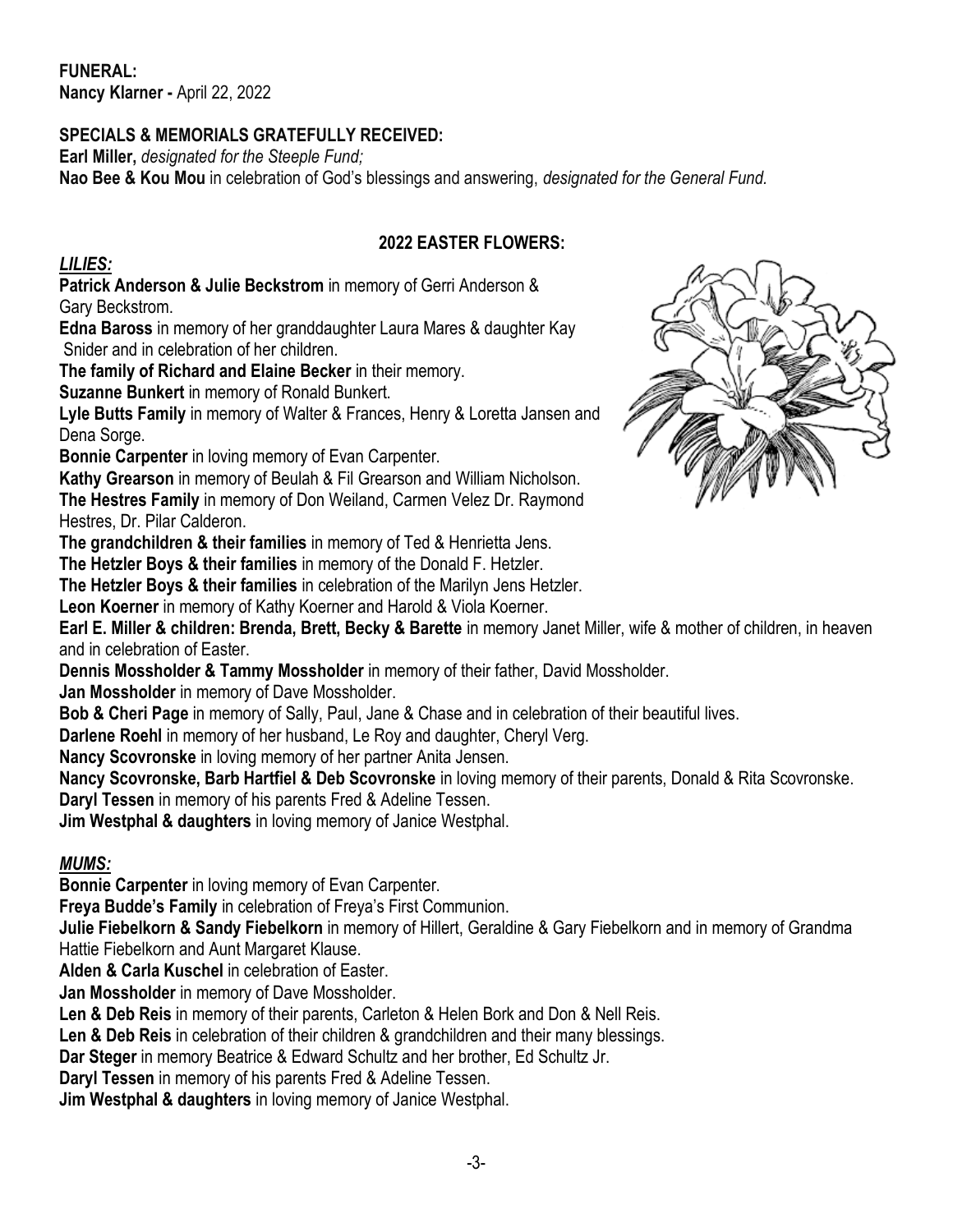**FUNERAL: Nancy Klarner -** April 22, 2022

## **SPECIALS & MEMORIALS GRATEFULLY RECEIVED:**

**Earl Miller,** *designated for the Steeple Fund;* **Nao Bee & Kou Mou** in celebration of God's blessings and answering, *designated for the General Fund.*

## **2022 EASTER FLOWERS:**

## *LILIES:*

**Patrick Anderson & Julie Beckstrom** in memory of Gerri Anderson & Gary Beckstrom.

**Edna Baross** in memory of her granddaughter Laura Mares & daughter Kay Snider and in celebration of her children.

**The family of Richard and Elaine Becker** in their memory.

**Suzanne Bunkert** in memory of Ronald Bunkert.

**Lyle Butts Family** in memory of Walter & Frances, Henry & Loretta Jansen and Dena Sorge.

**Bonnie Carpenter** in loving memory of Evan Carpenter.

**Kathy Grearson** in memory of Beulah & Fil Grearson and William Nicholson. **The Hestres Family** in memory of Don Weiland, Carmen Velez Dr. Raymond Hestres, Dr. Pilar Calderon.

**The grandchildren & their families** in memory of Ted & Henrietta Jens.

**The Hetzler Boys & their families** in memory of the Donald F. Hetzler.

**The Hetzler Boys & their families** in celebration of the Marilyn Jens Hetzler.

**Leon Koerner** in memory of Kathy Koerner and Harold & Viola Koerner.

**Earl E. Miller & children: Brenda, Brett, Becky & Barette** in memory Janet Miller, wife & mother of children, in heaven and in celebration of Easter.

**Dennis Mossholder & Tammy Mossholder** in memory of their father, David Mossholder.

**Jan Mossholder** in memory of Dave Mossholder.

**Bob & Cheri Page** in memory of Sally, Paul, Jane & Chase and in celebration of their beautiful lives.

**Darlene Roehl** in memory of her husband, Le Roy and daughter, Cheryl Verg.

**Nancy Scovronske** in loving memory of her partner Anita Jensen.

**Nancy Scovronske, Barb Hartfiel & Deb Scovronske** in loving memory of their parents, Donald & Rita Scovronske. **Daryl Tessen** in memory of his parents Fred & Adeline Tessen.

**Jim Westphal & daughters** in loving memory of Janice Westphal.

## *MUMS:*

**Bonnie Carpenter** in loving memory of Evan Carpenter.

**Freya Budde's Family** in celebration of Freya's First Communion.

**Julie Fiebelkorn & Sandy Fiebelkorn** in memory of Hillert, Geraldine & Gary Fiebelkorn and in memory of Grandma Hattie Fiebelkorn and Aunt Margaret Klause.

**Alden & Carla Kuschel** in celebration of Easter.

**Jan Mossholder** in memory of Dave Mossholder.

**Len & Deb Reis** in memory of their parents, Carleton & Helen Bork and Don & Nell Reis.

**Len & Deb Reis** in celebration of their children & grandchildren and their many blessings.

**Dar Steger** in memory Beatrice & Edward Schultz and her brother, Ed Schultz Jr.

**Daryl Tessen** in memory of his parents Fred & Adeline Tessen.

**Jim Westphal & daughters** in loving memory of Janice Westphal.

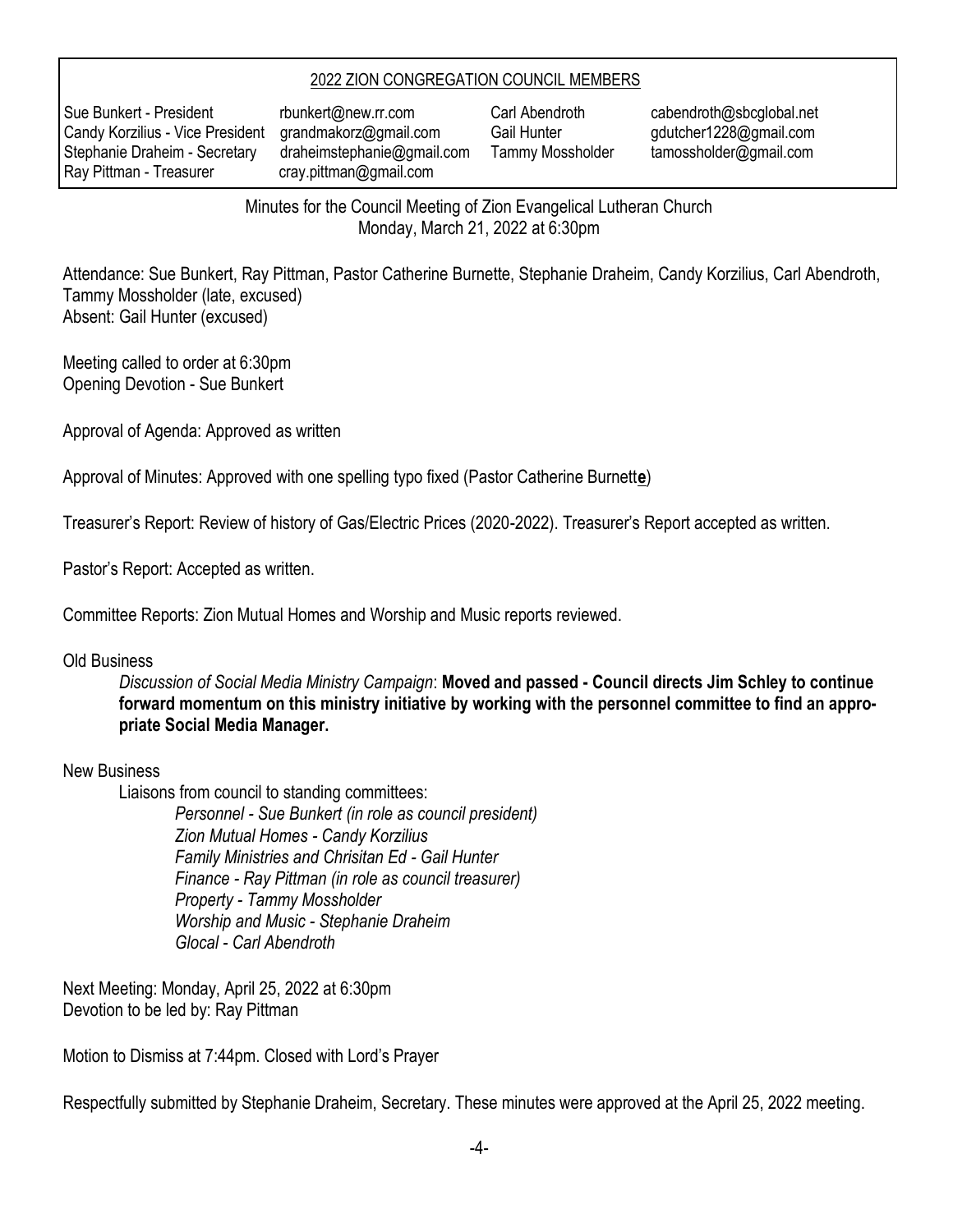#### 2022 ZION CONGREGATION COUNCIL MEMBERS

Sue Bunkert - President rbunkert@new.rr.com Candy Korzilius - Vice President grandmakorz@gmail.com Stephanie Draheim - Secretary draheimstephanie@gmail.com Ray Pittman - Treasurer cray.pittman@gmail.com

Carl Abendroth cabendroth@sbcglobal.net Gail Hunter gdutcher1228@gmail.com Tammy Mossholder tamossholder@gmail.com

Minutes for the Council Meeting of Zion Evangelical Lutheran Church Monday, March 21, 2022 at 6:30pm

Attendance: Sue Bunkert, Ray Pittman, Pastor Catherine Burnette, Stephanie Draheim, Candy Korzilius, Carl Abendroth, Tammy Mossholder (late, excused) Absent: Gail Hunter (excused)

Meeting called to order at 6:30pm Opening Devotion - Sue Bunkert

Approval of Agenda: Approved as written

Approval of Minutes: Approved with one spelling typo fixed (Pastor Catherine Burnett**e**)

Treasurer's Report: Review of history of Gas/Electric Prices (2020-2022). Treasurer's Report accepted as written.

Pastor's Report: Accepted as written.

Committee Reports: Zion Mutual Homes and Worship and Music reports reviewed.

#### Old Business

*Discussion of Social Media Ministry Campaign*: **Moved and passed - Council directs Jim Schley to continue forward momentum on this ministry initiative by working with the personnel committee to find an appropriate Social Media Manager.**

#### New Business

Liaisons from council to standing committees:

*Personnel - Sue Bunkert (in role as council president) Zion Mutual Homes - Candy Korzilius Family Ministries and Chrisitan Ed - Gail Hunter Finance - Ray Pittman (in role as council treasurer) Property - Tammy Mossholder Worship and Music - Stephanie Draheim Glocal - Carl Abendroth*

Next Meeting: Monday, April 25, 2022 at 6:30pm Devotion to be led by: Ray Pittman

Motion to Dismiss at 7:44pm. Closed with Lord's Prayer

Respectfully submitted by Stephanie Draheim, Secretary. These minutes were approved at the April 25, 2022 meeting.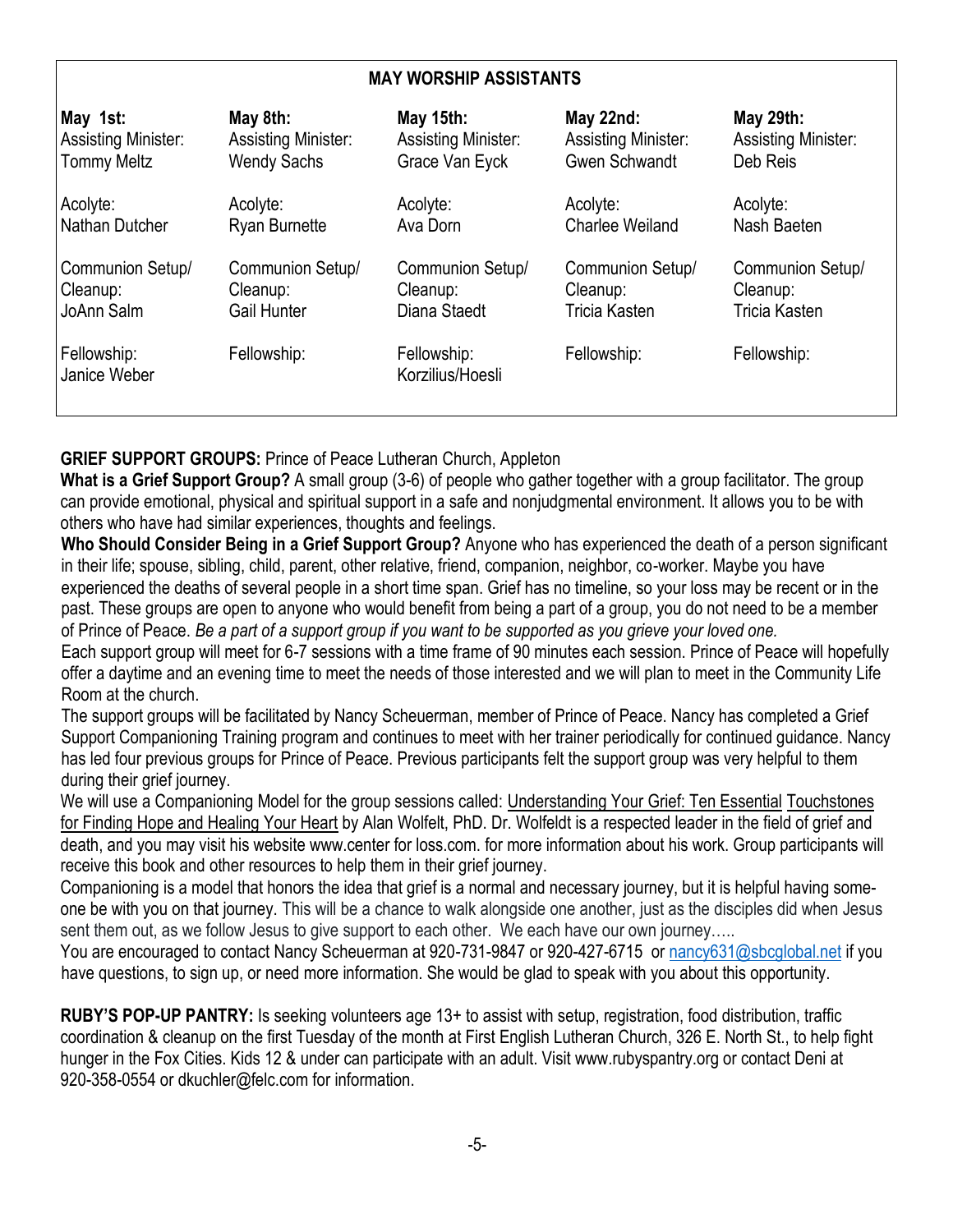#### **MAY WORSHIP ASSISTANTS**

| May 1st:                    | May 8th:                   | May 15th:                       | May 22nd:                  | May 29th:                  |
|-----------------------------|----------------------------|---------------------------------|----------------------------|----------------------------|
| <b>Assisting Minister:</b>  | <b>Assisting Minister:</b> | <b>Assisting Minister:</b>      | <b>Assisting Minister:</b> | <b>Assisting Minister:</b> |
| <b>Tommy Meltz</b>          | <b>Wendy Sachs</b>         | Grace Van Eyck                  | <b>Gwen Schwandt</b>       | Deb Reis                   |
| Acolyte:                    | Acolyte:                   | Acolyte:                        | Acolyte:                   | Acolyte:                   |
| Nathan Dutcher              | <b>Ryan Burnette</b>       | Ava Dorn                        | <b>Charlee Weiland</b>     | Nash Baeten                |
| Communion Setup/            | Communion Setup/           | Communion Setup/                | Communion Setup/           | Communion Setup/           |
| Cleanup:                    | Cleanup:                   | Cleanup:                        | Cleanup:                   | Cleanup:                   |
| JoAnn Salm                  | Gail Hunter                | Diana Staedt                    | <b>Tricia Kasten</b>       | <b>Tricia Kasten</b>       |
| Fellowship:<br>Janice Weber | Fellowship:                | Fellowship:<br>Korzilius/Hoesli | Fellowship:                | Fellowship:                |

## **GRIEF SUPPORT GROUPS:** Prince of Peace Lutheran Church, Appleton

**What is a Grief Support Group?** A small group (3-6) of people who gather together with a group facilitator. The group can provide emotional, physical and spiritual support in a safe and nonjudgmental environment. It allows you to be with others who have had similar experiences, thoughts and feelings.

**Who Should Consider Being in a Grief Support Group?** Anyone who has experienced the death of a person significant in their life; spouse, sibling, child, parent, other relative, friend, companion, neighbor, co-worker. Maybe you have experienced the deaths of several people in a short time span. Grief has no timeline, so your loss may be recent or in the past. These groups are open to anyone who would benefit from being a part of a group, you do not need to be a member of Prince of Peace. *Be a part of a support group if you want to be supported as you grieve your loved one.*

Each support group will meet for 6-7 sessions with a time frame of 90 minutes each session. Prince of Peace will hopefully offer a daytime and an evening time to meet the needs of those interested and we will plan to meet in the Community Life Room at the church.

The support groups will be facilitated by Nancy Scheuerman, member of Prince of Peace. Nancy has completed a Grief Support Companioning Training program and continues to meet with her trainer periodically for continued guidance. Nancy has led four previous groups for Prince of Peace. Previous participants felt the support group was very helpful to them during their grief journey.

We will use a Companioning Model for the group sessions called: Understanding Your Grief: Ten Essential Touchstones for Finding Hope and Healing Your Heart by Alan Wolfelt, PhD. Dr. Wolfeldt is a respected leader in the field of grief and death, and you may visit his website www.center for loss.com. for more information about his work. Group participants will receive this book and other resources to help them in their grief journey.

Companioning is a model that honors the idea that grief is a normal and necessary journey, but it is helpful having someone be with you on that journey. This will be a chance to walk alongside one another, just as the disciples did when Jesus sent them out, as we follow Jesus to give support to each other. We each have our own journey.....

You are encouraged to contact Nancy Scheuerman at 920-731-9847 or 920-427-6715 or nancy631@sbcglobal.net if you have questions, to sign up, or need more information. She would be glad to speak with you about this opportunity.

**RUBY'S POP-UP PANTRY:** Is seeking volunteers age 13+ to assist with setup, registration, food distribution, traffic coordination & cleanup on the first Tuesday of the month at First English Lutheran Church, 326 E. North St., to help fight hunger in the Fox Cities. Kids 12 & under can participate with an adult. Visit www.rubyspantry.org or contact Deni at 920-358-0554 or dkuchler@felc.com for information.